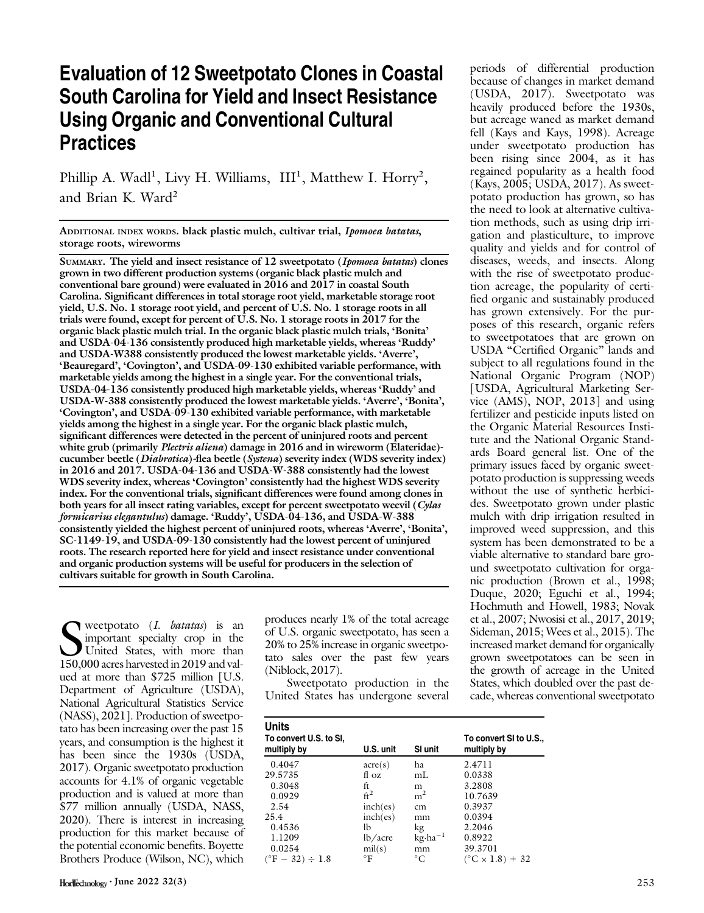# Evaluation of 12 Sweetpotato Clones in Coastal South Carolina for Yield and Insect Resistance Using Organic and Conventional Cultural **Practices**

Phillip A. Wadl<sup>1</sup>, Livy H. Williams, III<sup>1</sup>, Matthew I. Horry<sup>2</sup>, and Brian K. Ward<sup>2</sup>

ADDITIONAL INDEX WORDS. black plastic mulch, cultivar trial, Ipomoea batatas, storage roots, wireworms

SUMMARY. The yield and insect resistance of 12 sweetpotato (Ipomoea batatas) clones grown in two different production systems (organic black plastic mulch and conventional bare ground) were evaluated in 2016 and 2017 in coastal South Carolina. Significant differences in total storage root yield, marketable storage root yield, U.S. No. 1 storage root yield, and percent of U.S. No. 1 storage roots in all trials were found, except for percent of U.S. No. 1 storage roots in 2017 for the organic black plastic mulch trial. In the organic black plastic mulch trials, 'Bonita' and USDA-04-136 consistently produced high marketable yields, whereas 'Ruddy' and USDA-W388 consistently produced the lowest marketable yields. 'Averre', 'Beauregard', 'Covington', and USDA-09-130 exhibited variable performance, with marketable yields among the highest in a single year. For the conventional trials, USDA-04-136 consistently produced high marketable yields, whereas 'Ruddy' and USDA-W-388 consistently produced the lowest marketable yields. 'Averre', 'Bonita', 'Covington', and USDA-09-130 exhibited variable performance, with marketable yields among the highest in a single year. For the organic black plastic mulch, significant differences were detected in the percent of uninjured roots and percent white grub (primarily *Plectris aliena*) damage in 2016 and in wireworm (Elateridae)cucumber beetle (Diabrotica)-flea beetle (Systena) severity index (WDS severity index) in 2016 and 2017. USDA-04-136 and USDA-W-388 consistently had the lowest WDS severity index, whereas 'Covington' consistently had the highest WDS severity index. For the conventional trials, significant differences were found among clones in both years for all insect rating variables, except for percent sweetpotato weevil (Cylas formicarius elegantulus) damage. 'Ruddy', USDA-04-136, and USDA-W-388 consistently yielded the highest percent of uninjured roots, whereas 'Averre', 'Bonita', SC-1149-19, and USDA-09-130 consistently had the lowest percent of uninjured roots. The research reported here for yield and insect resistance under conventional and organic production systems will be useful for producers in the selection of cultivars suitable for growth in South Carolina.

Superpotato (*I. batatas*) is an important specialty crop in the United States, with more than 150,000 acres harvested in 2019 and valweetpotato  $(I.$  batatas) is an important specialty crop in the United States, with more than ued at more than \$725 million [U.S. Department of Agriculture (USDA), National Agricultural Statistics Service (NASS), 2021]. Production of sweetpotato has been increasing over the past 15 years, and consumption is the highest it has been since the 1930s (USDA, 2017). Organic sweetpotato production accounts for 4.1% of organic vegetable production and is valued at more than \$77 million annually (USDA, NASS, 2020). There is interest in increasing production for this market because of the potential economic benefits. Boyette Brothers Produce (Wilson, NC), which

produces nearly 1% of the total acreage of U.S. organic sweetpotato, has seen a 20% to 25% increase in organic sweetpotato sales over the past few years (Niblock, 2017).

Sweetpotato production in the United States has undergone several periods of differential production because of changes in market demand (USDA, 2017). Sweetpotato was heavily produced before the 1930s, but acreage waned as market demand fell (Kays and Kays, 1998). Acreage under sweetpotato production has been rising since 2004, as it has regained popularity as a health food (Kays, 2005; USDA, 2017). As sweetpotato production has grown, so has the need to look at alternative cultivation methods, such as using drip irrigation and plasticulture, to improve quality and yields and for control of diseases, weeds, and insects. Along with the rise of sweetpotato production acreage, the popularity of certified organic and sustainably produced has grown extensively. For the purposes of this research, organic refers to sweetpotatoes that are grown on USDA "Certified Organic" lands and subject to all regulations found in the National Organic Program (NOP) [USDA, Agricultural Marketing Service (AMS), NOP, 2013] and using fertilizer and pesticide inputs listed on the Organic Material Resources Institute and the National Organic Standards Board general list. One of the primary issues faced by organic sweetpotato production is suppressing weeds without the use of synthetic herbicides. Sweetpotato grown under plastic mulch with drip irrigation resulted in improved weed suppression, and this system has been demonstrated to be a viable alternative to standard bare ground sweetpotato cultivation for organic production (Brown et al., 1998; Duque, 2020; Eguchi et al., 1994; Hochmuth and Howell, 1983; Novak et al., 2007; Nwosisi et al., 2017, 2019; Sideman, 2015; Wees et al., 2015). The increased market demand for organically grown sweetpotatoes can be seen in the growth of acreage in the United States, which doubled over the past decade, whereas conventional sweetpotato

| <b>Units</b><br>To convert U.S. to SI,<br>multiply by | U.S. unit        | SI unit            | To convert SI to U.S.,<br>multiply by |
|-------------------------------------------------------|------------------|--------------------|---------------------------------------|
| 0.4047                                                | $\arccos$        | ha                 | 2.4711                                |
| 29.5735                                               | $f \cdot \Omega$ | mL                 | 0.0338                                |
| 0.3048                                                | ft               | m                  | 3.2808                                |
| 0.0929                                                | $\mathrm{ft}^2$  | m <sup>2</sup>     | 10.7639                               |
| 2.54                                                  | inch(es)         | cm                 | 0.3937                                |
| 25.4                                                  | inch(es)         | mm                 | 0.0394                                |
| 0.4536                                                | lb               | kg                 | 2.2046                                |
| 1.1209                                                | lb/acre          | $kg \cdot ha^{-1}$ | 0.8922                                |
| 0.0254                                                | $\text{mil}(s)$  | mm                 | 39.3701                               |
| $(^{\circ}F - 32) \div 1.8$                           | °F               | $^{\circ}C$        | $(^{\circ}C \times 1.8) + 32$         |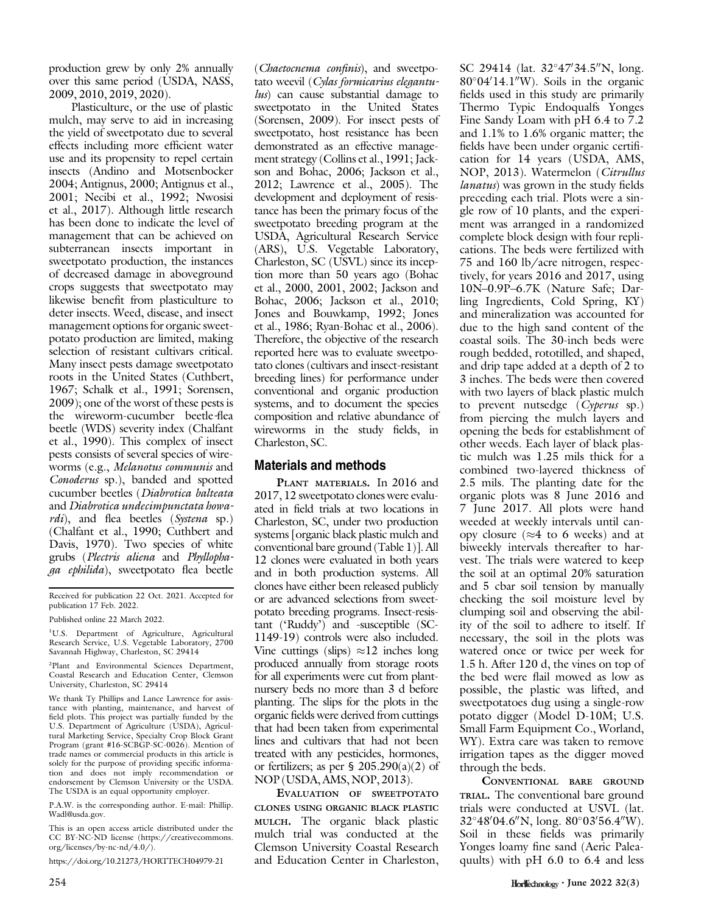production grew by only 2% annually over this same period (USDA, NASS, 2009, 2010, 2019, 2020).

Plasticulture, or the use of plastic mulch, may serve to aid in increasing the yield of sweetpotato due to several effects including more efficient water use and its propensity to repel certain insects (Andino and Motsenbocker 2004; Antignus, 2000; Antignus et al., 2001; Necibi et al., 1992; Nwosisi et al., 2017). Although little research has been done to indicate the level of management that can be achieved on subterranean insects important in sweetpotato production, the instances of decreased damage in aboveground crops suggests that sweetpotato may likewise benefit from plasticulture to deter insects. Weed, disease, and insect management options for organic sweetpotato production are limited, making selection of resistant cultivars critical. Many insect pests damage sweetpotato roots in the United States (Cuthbert, 1967; Schalk et al., 1991; Sorensen, 2009); one of the worst of these pests is the wireworm-cucumber beetle-flea beetle (WDS) severity index (Chalfant et al., 1990). This complex of insect pests consists of several species of wireworms (e.g., Melanotus communis and Conoderus sp.), banded and spotted cucumber beetles (Diabrotica balteata and Diabrotica undecimpunctata howardi), and flea beetles (Systena sp.) (Chalfant et al., 1990; Cuthbert and Davis, 1970). Two species of white grubs (Plectris aliena and Phyllophaga ephilida), sweetpotato flea beetle

Received for publication 22 Oct. 2021. Accepted for publication 17 Feb. 2022.

Published online 22 March 2022.

<sup>1</sup>U.S. Department of Agriculture, Agricultural Research Service, U.S. Vegetable Laboratory, 2700 Savannah Highway, Charleston, SC 29414

2 Plant and Environmental Sciences Department, Coastal Research and Education Center, Clemson University, Charleston, SC 29414

We thank Ty Phillips and Lance Lawrence for assistance with planting, maintenance, and harvest of field plots. This project was partially funded by the U.S. Department of Agriculture (USDA), Agricultural Marketing Service, Specialty Crop Block Grant Program (grant #16-SCBGP-SC-0026). Mention of trade names or commercial products in this article is solely for the purpose of providing specific information and does not imply recommendation or endorsement by Clemson University or the USDA. The USDA is an equal opportunity employer.

P.A.W. is the corresponding author. E-mail: [Phillip.](mailto:Phillip.Wadl@usda.gov) [Wadl@usda.gov](mailto:Phillip.Wadl@usda.gov).

This is an open access article distributed under the CC BY-NC-ND license ([https://creativecommons.](https://creativecommons.org/licenses/by-nc-nd/4.0/) [org/licenses/by-nc-nd/4.0/\)](https://creativecommons.org/licenses/by-nc-nd/4.0/).

<https://doi.org/10.21273/HORTTECH04979-21>

(Chaetocnema confinis), and sweetpotato weevil (Cylas formicarius elegantulus) can cause substantial damage to sweetpotato in the United States (Sorensen, 2009). For insect pests of sweetpotato, host resistance has been demonstrated as an effective management strategy (Collins et al., 1991; Jackson and Bohac, 2006; Jackson et al., 2012; Lawrence et al., 2005). The development and deployment of resistance has been the primary focus of the sweetpotato breeding program at the USDA, Agricultural Research Service (ARS), U.S. Vegetable Laboratory, Charleston, SC (USVL) since its inception more than 50 years ago (Bohac et al., 2000, 2001, 2002; Jackson and Bohac, 2006; Jackson et al., 2010; Jones and Bouwkamp, 1992; Jones et al., 1986; Ryan-Bohac et al., 2006). Therefore, the objective of the research reported here was to evaluate sweetpotato clones (cultivars and insect-resistant breeding lines) for performance under conventional and organic production systems, and to document the species composition and relative abundance of wireworms in the study fields, in Charleston, SC.

#### Materials and methods

PLANT MATERIALS. In 2016 and 2017, 12 sweetpotato clones were evaluated in field trials at two locations in Charleston, SC, under two production systems [organic black plastic mulch and conventional bare ground (Table 1)]. All 12 clones were evaluated in both years and in both production systems. All clones have either been released publicly or are advanced selections from sweetpotato breeding programs. Insect-resistant ('Ruddy') and -susceptible (SC-1149-19) controls were also included. Vine cuttings (slips)  $\approx 12$  inches long produced annually from storage roots for all experiments were cut from plantnursery beds no more than 3 d before planting. The slips for the plots in the organic fields were derived from cuttings that had been taken from experimental lines and cultivars that had not been treated with any pesticides, hormones, or fertilizers; as per §  $205.290(a)(2)$  of NOP (USDA, AMS, NOP, 2013).

EVALUATION OF SWEETPOTATO CLONES USING ORGANIC BLACK PLASTIC MULCH. The organic black plastic mulch trial was conducted at the Clemson University Coastal Research and Education Center in Charleston,

SC 29414 (lat. 32°47'34.5"N, long.  $80^{\circ}04'14.1''W$ ). Soils in the organic fields used in this study are primarily Thermo Typic Endoqualfs Yonges Fine Sandy Loam with pH 6.4 to 7.2 and 1.1% to 1.6% organic matter; the fields have been under organic certification for 14 years (USDA, AMS, NOP, 2013). Watermelon (Citrullus lanatus) was grown in the study fields preceding each trial. Plots were a single row of 10 plants, and the experiment was arranged in a randomized complete block design with four replications. The beds were fertilized with 75 and 160 lb/acre nitrogen, respectively, for years 2016 and 2017, using 10N–0.9P–6.7K (Nature Safe; Darling Ingredients, Cold Spring, KY) and mineralization was accounted for due to the high sand content of the coastal soils. The 30-inch beds were rough bedded, rototilled, and shaped, and drip tape added at a depth of 2 to 3 inches. The beds were then covered with two layers of black plastic mulch to prevent nutsedge (Cyperus sp.) from piercing the mulch layers and opening the beds for establishment of other weeds. Each layer of black plastic mulch was 1.25 mils thick for a combined two-layered thickness of 2.5 mils. The planting date for the organic plots was 8 June 2016 and 7 June 2017. All plots were hand weeded at weekly intervals until canopy closure ( $\approx$ 4 to 6 weeks) and at biweekly intervals thereafter to harvest. The trials were watered to keep the soil at an optimal 20% saturation and 5 cbar soil tension by manually checking the soil moisture level by clumping soil and observing the ability of the soil to adhere to itself. If necessary, the soil in the plots was watered once or twice per week for 1.5 h. After 120 d, the vines on top of the bed were flail mowed as low as possible, the plastic was lifted, and sweetpotatoes dug using a single-row potato digger (Model D-10M; U.S. Small Farm Equipment Co., Worland, WY). Extra care was taken to remove irrigation tapes as the digger moved through the beds.

CONVENTIONAL BARE GROUND TRIAL. The conventional bare ground trials were conducted at USVL (lat.  $32^{\circ}48'04.6''$ N, long.  $80^{\circ}03'56.4''$ W). Soil in these fields was primarily Yonges loamy fine sand (Aeric Paleaquults) with pH 6.0 to 6.4 and less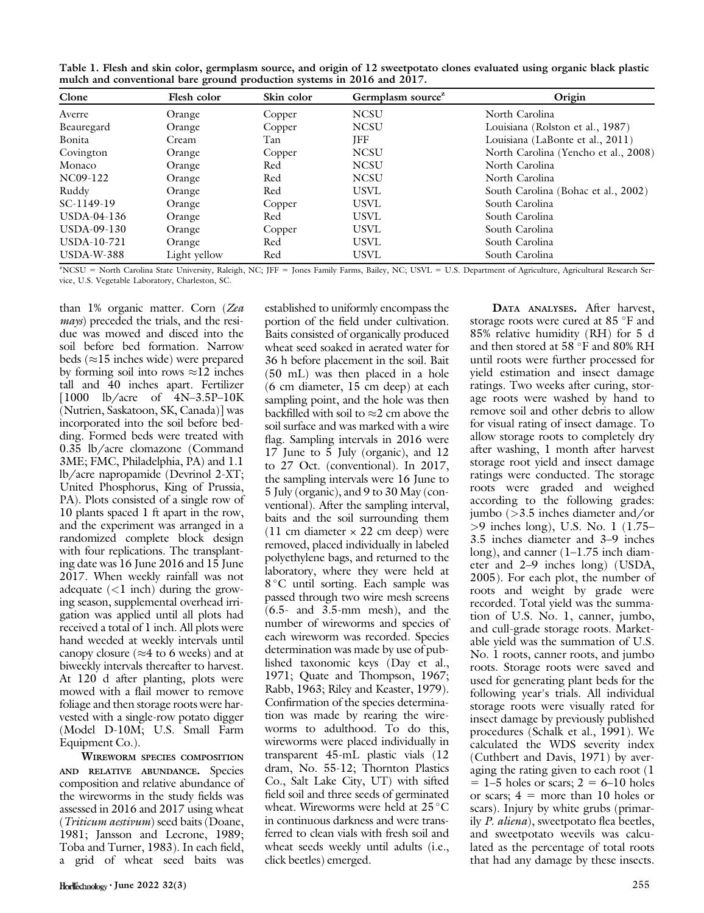Table 1. Flesh and skin color, germplasm source, and origin of 12 sweetpotato clones evaluated using organic black plastic mulch and conventional bare ground production systems in 2016 and 2017.

| Clone        | Flesh color  | Skin color | Germplasm source <sup>z</sup> | Origin                               |
|--------------|--------------|------------|-------------------------------|--------------------------------------|
| Averre       | Orange       | Copper     | <b>NCSU</b>                   | North Carolina                       |
| Beauregard   | Orange       | Copper     | <b>NCSU</b>                   | Louisiana (Rolston et al., 1987)     |
| Bonita       | Cream        | Tan        | JFF                           | Louisiana (LaBonte et al., 2011)     |
| Covington    | Orange       | Copper     | <b>NCSU</b>                   | North Carolina (Yencho et al., 2008) |
| Monaco       | Orange       | Red        | <b>NCSU</b>                   | North Carolina                       |
| NC09-122     | Orange       | Red        | <b>NCSU</b>                   | North Carolina                       |
| Ruddy        | Orange       | Red        | <b>USVL</b>                   | South Carolina (Bohac et al., 2002)  |
| SC-1149-19   | Orange       | Copper     | <b>USVL</b>                   | South Carolina                       |
| USDA-04-136  | Orange       | Red        | <b>USVL</b>                   | South Carolina                       |
| USDA-09-130  | Orange       | Copper     | <b>USVL</b>                   | South Carolina                       |
| USDA-10-721  | Orange       | Red        | <b>USVL</b>                   | South Carolina                       |
| $USDA-W-388$ | Light yellow | Red        | <b>USVL</b>                   | South Carolina                       |

XCSU = North Carolina State University, Raleigh, NC; JFF = Jones Family Farms, Bailey, NC; USVL = U.S. Department of Agriculture, Agricultural Research Service, U.S. Vegetable Laboratory, Charleston, SC.

than 1% organic matter. Corn (Zea mays) preceded the trials, and the residue was mowed and disced into the soil before bed formation. Narrow beds ( $\approx$ 15 inches wide) were prepared by forming soil into rows  $\approx$ 12 inches tall and 40 inches apart. Fertilizer [1000 lb/acre of 4N–3.5P–10K (Nutrien, Saskatoon, SK, Canada)] was incorporated into the soil before bedding. Formed beds were treated with 0.35 lb/acre clomazone (Command 3ME; FMC, Philadelphia, PA) and 1.1 lb/acre napropamide (Devrinol 2-XT; United Phosphorus, King of Prussia, PA). Plots consisted of a single row of 10 plants spaced 1 ft apart in the row, and the experiment was arranged in a randomized complete block design with four replications. The transplanting date was 16 June 2016 and 15 June 2017. When weekly rainfall was not adequate  $(<1$  inch) during the growing season, supplemental overhead irrigation was applied until all plots had received a total of 1 inch. All plots were hand weeded at weekly intervals until canopy closure ( $\approx$ 4 to 6 weeks) and at biweekly intervals thereafter to harvest. At 120 d after planting, plots were mowed with a flail mower to remove foliage and then storage roots were harvested with a single-row potato digger (Model D-10M; U.S. Small Farm Equipment Co.).

WIREWORM SPECIES COMPOSITION AND RELATIVE ABUNDANCE. Species composition and relative abundance of the wireworms in the study fields was assessed in 2016 and 2017 using wheat (Triticum aestivum) seed baits (Doane, 1981; Jansson and Lecrone, 1989; Toba and Turner, 1983). In each field, a grid of wheat seed baits was

established to uniformly encompass the portion of the field under cultivation. Baits consisted of organically produced wheat seed soaked in aerated water for 36 h before placement in the soil. Bait (50 mL) was then placed in a hole (6 cm diameter, 15 cm deep) at each sampling point, and the hole was then backfilled with soil to  $\approx$ 2 cm above the soil surface and was marked with a wire flag. Sampling intervals in 2016 were 17 June to 5 July (organic), and 12 to 27 Oct. (conventional). In 2017, the sampling intervals were 16 June to 5 July (organic), and 9 to 30 May (conventional). After the sampling interval, baits and the soil surrounding them (11 cm diameter  $\times$  22 cm deep) were removed, placed individually in labeled polyethylene bags, and returned to the laboratory, where they were held at 8 °C until sorting. Each sample was passed through two wire mesh screens (6.5- and 3.5-mm mesh), and the number of wireworms and species of each wireworm was recorded. Species determination was made by use of published taxonomic keys (Day et al., 1971; Quate and Thompson, 1967; Rabb, 1963; Riley and Keaster, 1979). Confirmation of the species determination was made by rearing the wireworms to adulthood. To do this, wireworms were placed individually in transparent 45-mL plastic vials (12 dram, No. 55-12; Thornton Plastics Co., Salt Lake City, UT) with sifted field soil and three seeds of germinated wheat. Wireworms were held at  $25^{\circ}$ C in continuous darkness and were transferred to clean vials with fresh soil and wheat seeds weekly until adults (i.e., click beetles) emerged.

DATA ANALYSES. After harvest, storage roots were cured at 85 °F and 85% relative humidity (RH) for 5 d and then stored at  $58\text{ °F}$  and  $80\%$  RH until roots were further processed for yield estimation and insect damage ratings. Two weeks after curing, storage roots were washed by hand to remove soil and other debris to allow for visual rating of insect damage. To allow storage roots to completely dry after washing, 1 month after harvest storage root yield and insect damage ratings were conducted. The storage roots were graded and weighed according to the following grades: jumbo (>3.5 inches diameter and/or >9 inches long), U.S. No. 1 (1.75– 3.5 inches diameter and 3–9 inches long), and canner (1–1.75 inch diameter and 2–9 inches long) (USDA, 2005). For each plot, the number of roots and weight by grade were recorded. Total yield was the summation of U.S. No. 1, canner, jumbo, and cull-grade storage roots. Marketable yield was the summation of U.S. No. 1 roots, canner roots, and jumbo roots. Storage roots were saved and used for generating plant beds for the following year's trials. All individual storage roots were visually rated for insect damage by previously published procedures (Schalk et al., 1991). We calculated the WDS severity index (Cuthbert and Davis, 1971) by averaging the rating given to each root (1  $= 1-5$  holes or scars;  $2 = 6-10$  holes or scars;  $4 =$  more than 10 holes or scars). Injury by white grubs (primarily P. aliena), sweetpotato flea beetles, and sweetpotato weevils was calculated as the percentage of total roots that had any damage by these insects.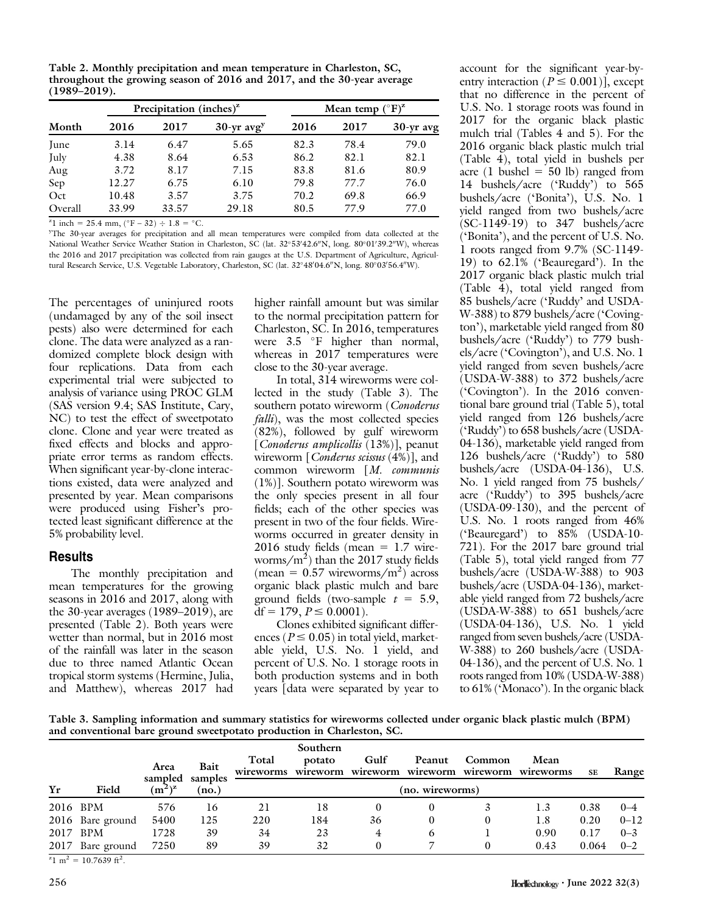Table 2. Monthly precipitation and mean temperature in Charleston, SC, throughout the growing season of 2016 and 2017, and the 30-year average (1989–2019).

| Month   |       | Precipitation (inches) <sup><math>z</math></sup> |                          | Mean temp $({}^{\circ}F)^{z}$ |      |             |  |  |
|---------|-------|--------------------------------------------------|--------------------------|-------------------------------|------|-------------|--|--|
|         | 2016  | 2017                                             | $30-yr$ avg <sup>y</sup> | 2016                          | 2017 | $30-yr$ avg |  |  |
| June    | 3.14  | 6.47                                             | 5.65                     | 82.3                          | 78.4 | 79.0        |  |  |
| July    | 4.38  | 8.64                                             | 6.53                     | 86.2                          | 82.1 | 82.1        |  |  |
| Aug     | 3.72  | 8.17                                             | 7.15                     | 83.8                          | 81.6 | 80.9        |  |  |
| Sep     | 12.27 | 6.75                                             | 6.10                     | 79.8                          | 77.7 | 76.0        |  |  |
| Oct     | 10.48 | 3.57                                             | 3.75                     | 70.2                          | 69.8 | 66.9        |  |  |
| Overall | 33.99 | 33.57                                            | 29.18                    | 80.5                          | 77.9 | 77.0        |  |  |

<sup>2</sup>l inch = 25.4 mm,  $(^{\circ}F - 32) \div 1.8 = ^{\circ}C$ .<br><sup>y</sup>The 30 year average for precipitation and

<sup>y</sup>The 30-year averages for precipitation and all mean temperatures were compiled from data collected at the National Weather Service Weather Station in Charleston, SC (lat. 32°53'42.6"N, long. 80°01'39.2"W), whereas the 2016 and 2017 precipitation was collected from rain gauges at the U.S. Department of Agriculture, Agricultural Research Service, U.S. Vegetable Laboratory, Charleston, SC (lat. 32°48′04.6″N, long. 80°03′56.4″W).

The percentages of uninjured roots (undamaged by any of the soil insect pests) also were determined for each clone. The data were analyzed as a randomized complete block design with four replications. Data from each experimental trial were subjected to analysis of variance using PROC GLM (SAS version 9.4; SAS Institute, Cary, NC) to test the effect of sweetpotato clone. Clone and year were treated as fixed effects and blocks and appropriate error terms as random effects. When significant year-by-clone interactions existed, data were analyzed and presented by year. Mean comparisons were produced using Fisher's protected least significant difference at the 5% probability level.

#### **Results**

The monthly precipitation and mean temperatures for the growing seasons in 2016 and 2017, along with the 30-year averages (1989–2019), are presented (Table 2). Both years were wetter than normal, but in 2016 most of the rainfall was later in the season due to three named Atlantic Ocean tropical storm systems (Hermine, Julia, and Matthew), whereas 2017 had higher rainfall amount but was similar to the normal precipitation pattern for Charleston, SC. In 2016, temperatures were  $3.5$  °F higher than normal, whereas in 2017 temperatures were close to the 30-year average.

In total, 314 wireworms were collected in the study (Table 3). The southern potato wireworm (Conoderus falli), was the most collected species (82%), followed by gulf wireworm [Conoderus amplicollis (13%)], peanut wireworm  $\lceil$  *Conderus scissus* (4%)], and common wireworm [M. communis (1%)]. Southern potato wireworm was the only species present in all four fields; each of the other species was present in two of the four fields. Wireworms occurred in greater density in  $2016$  study fields (mean = 1.7 wireworms/m<sup>2</sup>) than the 2017 study fields  $(\text{mean} = 0.57 \text{ wireworms/m}^2)$  across organic black plastic mulch and bare ground fields (two-sample  $t = 5.9$ ,  $df = 179, P \le 0.0001$ .

Clones exhibited significant differences ( $P \le 0.05$ ) in total yield, marketable yield, U.S. No. 1 yield, and percent of U.S. No. 1 storage roots in both production systems and in both years [data were separated by year to account for the significant year-byentry interaction ( $P \le 0.001$ ), except that no difference in the percent of U.S. No. 1 storage roots was found in 2017 for the organic black plastic mulch trial (Tables 4 and 5). For the 2016 organic black plastic mulch trial (Table 4), total yield in bushels per acre (1 bushel  $= 50$  lb) ranged from 14 bushels/acre ('Ruddy') to 565 bushels/acre ('Bonita'), U.S. No. 1 yield ranged from two bushels/acre (SC-1149-19) to 347 bushels/acre ('Bonita'), and the percent of U.S. No. 1 roots ranged from 9.7% (SC-1149- 19) to 62.1% ('Beauregard'). In the 2017 organic black plastic mulch trial (Table 4), total yield ranged from 85 bushels/acre ('Ruddy' and USDA-W-388) to 879 bushels/acre ('Covington'), marketable yield ranged from 80 bushels/acre ('Ruddy') to 779 bushels/acre ('Covington'), and U.S. No. 1 yield ranged from seven bushels/acre (USDA-W-388) to 372 bushels/acre ('Covington'). In the 2016 conventional bare ground trial (Table 5), total yield ranged from 126 bushels/acre ('Ruddy') to 658 bushels/acre (USDA-04-136), marketable yield ranged from 126 bushels/acre ('Ruddy') to 580 bushels/acre (USDA-04-136), U.S. No. 1 yield ranged from 75 bushels/ acre ('Ruddy') to 395 bushels/acre (USDA-09-130), and the percent of U.S. No. 1 roots ranged from 46% ('Beauregard') to 85% (USDA-10- 721). For the 2017 bare ground trial (Table 5), total yield ranged from 77 bushels/acre (USDA-W-388) to 903 bushels/acre (USDA-04-136), marketable yield ranged from 72 bushels/acre (USDA-W-388) to 651 bushels/acre (USDA-04-136), U.S. No. 1 yield ranged from seven bushels/acre (USDA-W-388) to 260 bushels/acre (USDA-04-136), and the percent of U.S. No. 1 roots ranged from 10% (USDA-W-388) to 61% ('Monaco'). In the organic black

Table 3. Sampling information and summary statistics for wireworms collected under organic black plastic mulch (BPM) and conventional bare ground sweetpotato production in Charleston, SC.

|    |                  |                 |                 |                    | Southern           |                  |                    |                    |                   |           |          |
|----|------------------|-----------------|-----------------|--------------------|--------------------|------------------|--------------------|--------------------|-------------------|-----------|----------|
|    |                  | Area<br>sampled | Bait<br>samples | Total<br>wireworms | potato<br>wireworm | Gulf<br>wireworm | Peanut<br>wireworm | Common<br>wireworm | Mean<br>wireworms | <b>SE</b> | Range    |
| Yr | Field            | $(m^2)^z$       | (no.)           |                    |                    |                  | (no. wireworms)    |                    |                   |           |          |
|    | 2016 BPM         | 576             | 16              | 21                 | 18                 |                  |                    |                    | 1.3               | 0.38      | $0 - 4$  |
|    | 2016 Bare ground | 5400            | 125             | 220                | 184                | 36               |                    |                    | 1.8               | 0.20      | $0 - 12$ |
|    | 2017 BPM         | 1728            | 39              | 34                 | 23                 | 4                | 6                  |                    | 0.90              | 0.17      | $0 - 3$  |
|    | 2017 Bare ground | 7250            | 89              | 39                 | 32                 |                  |                    |                    | 0.43              | 0.064     | $0 - 2$  |

 $z_1$  m<sup>2</sup> = 10.7639 ft<sup>2</sup>.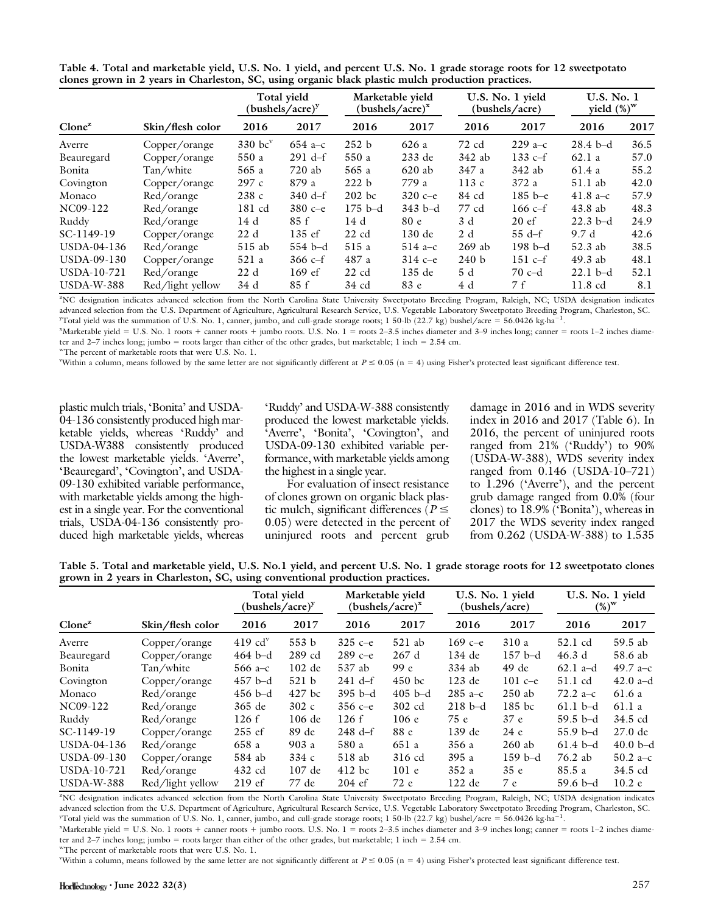|                                                                                                    |  | Table 4. Total and marketable yield, U.S. No. 1 yield, and percent U.S. No. 1 grade storage roots for 12 sweetpotato |
|----------------------------------------------------------------------------------------------------|--|----------------------------------------------------------------------------------------------------------------------|
| clones grown in 2 years in Charleston, SC, using organic black plastic mulch production practices. |  |                                                                                                                      |

|                                    |                  | Total vield<br>$(bushels/acre)^y$ |                   | Marketable yield<br>(bushels/acre) $^x$ |            | U.S. No. 1 yield<br>(bushels/acre) |                 | U.S. No. 1<br>yield $(\%)^w$ |      |
|------------------------------------|------------------|-----------------------------------|-------------------|-----------------------------------------|------------|------------------------------------|-----------------|------------------------------|------|
| $C$ lone <sup><math>z</math></sup> | Skin/flesh color | 2016                              | 2017              | 2016                                    | 2017       | 2016                               | 2017            | 2016                         | 2017 |
| Averre                             | Copper/orange    | $330$ bc $v$                      | $654a-c$          | 252 b                                   | 626a       | 72 cd                              | $229a-c$        | $28.4\text{ b-d}$            | 36.5 |
| Beauregard                         | Copper/orange    | 550a                              | $291 d-f$         | 550 a                                   | 233 de     | 342 ab                             | 133 $c-f$       | 62.1a                        | 57.0 |
| Bonita                             | Tan/white        | 565 a                             | 720 ab            | 565 a                                   | $620$ ab   | 347 a                              | 342 ab          | 61.4a                        | 55.2 |
| Covington                          | Copper/orange    | 297c                              | 879 a             | 222 b                                   | 779 a      | 113c                               | 372a            | $51.1$ ab                    | 42.0 |
| Monaco                             | Red/orange       | 238c                              | $340 \text{ d-f}$ | $202$ bc                                | $320c - e$ | 84 cd                              | $185 b - e$     | 41.8 a–c                     | 57.9 |
| NC09-122                           | Red/orange       | 181 cd                            | $380c - e$        | $175 b-d$                               | $343 b-d$  | 77 cd                              | 166 $c-f$       | 43.8ab                       | 48.3 |
| Ruddy                              | Red/orange       | 14 d                              | 85 f              | 14d                                     | 80e        | 3 d                                | $20 \text{ ef}$ | $22.3$ b-d                   | 24.9 |
| SC-1149-19                         | Copper/orange    | 22d                               | 135 ef            | $22$ cd                                 | 130 de     | 2d                                 | $55 d-f$        | 9.7 d                        | 42.6 |
| USDA-04-136                        | Red/orange       | $515$ ab                          | $554 b-d$         | 515 a                                   | $514a-c$   | $269$ ab                           | $198b-d$        | $52.3$ ab                    | 38.5 |
| $USDA-09-130$                      | Copper/orange    | 521a                              | $366c-f$          | 487 a                                   | $314c - e$ | 240 <sub>b</sub>                   | $151 c-f$       | $49.3$ ab                    | 48.1 |
| USDA-10-721                        | Red/orange       | 22d                               | $169$ ef          | $22$ cd                                 | 135 de     | 5 d                                | $70c-d$         | $22.1 b-d$                   | 52.1 |
| $USDA-W-388$                       | Red/light yellow | 34 d                              | 85 f              | 34 cd                                   | 83 e       | 4 d                                | 7 f             | 11.8 cd                      | 8.1  |

z NC designation indicates advanced selection from the North Carolina State University Sweetpotato Breeding Program, Raleigh, NC; USDA designation indicates advanced selection from the U.S. Department of Agriculture, Agricultural Research Service, U.S. Vegetable Laboratory Sweetpotato Breeding Program, Charleston, SC.  $\frac{y}{\cosh y}$  or the summation of U.S. No. 1, canner, jumbo, and cull-grade storage roots; 1 50-lb (22.7 kg) bushel/acre = 56.0426 kg·ha<sup>-1</sup>.

x Marketable yield 5 U.S. No. 1 roots 1 canner roots 1 jumbo roots. U.S. No. 1 5 roots 2–3.5 inches diameter and 3–9 inches long; canner 5 roots 1–2 inches diameter and 2–7 inches long; jumbo = roots larger than either of the other grades, but marketable; 1 inch = 2.54 cm.

wThe percent of marketable roots that were U.S. No. 1.

Within a column, means followed by the same letter are not significantly different at  $P \le 0.05$  (n = 4) using Fisher's protected least significant difference test.

plastic mulch trials, 'Bonita' and USDA-04-136 consistently produced high marketable yields, whereas 'Ruddy' and USDA-W388 consistently produced the lowest marketable yields. 'Averre', 'Beauregard', 'Covington', and USDA-09-130 exhibited variable performance, with marketable yields among the highest in a single year. For the conventional trials, USDA-04-136 consistently produced high marketable yields, whereas

'Ruddy' and USDA-W-388 consistently produced the lowest marketable yields. 'Averre', 'Bonita', 'Covington', and USDA-09-130 exhibited variable performance, with marketable yields among the highest in a single year.

For evaluation of insect resistance of clones grown on organic black plastic mulch, significant differences  $\hat{P} \leq$ 0.05) were detected in the percent of uninjured roots and percent grub

damage in 2016 and in WDS severity index in 2016 and 2017 (Table 6). In 2016, the percent of uninjured roots ranged from 21% ('Ruddy') to 90% (USDA-W-388), WDS severity index ranged from 0.146 (USDA-10–721) to 1.296 ('Averre'), and the percent grub damage ranged from 0.0% (four clones) to 18.9% ('Bonita'), whereas in 2017 the WDS severity index ranged from 0.262 (USDA-W-388) to 1.535

Table 5. Total and marketable yield, U.S. No.1 yield, and percent U.S. No. 1 grade storage roots for 12 sweetpotato clones grown in 2 years in Charleston, SC, using conventional production practices.

|                                    |                  | Total vield<br>$(bushels/acre)^y$ |          | Marketable yield<br>$(bushels/acre)^x$ |           | U.S. No. 1 yield<br>(bushels/acre) |                 | U.S. No. 1 yield<br>$(\%)^{\mathrm{w}}$ |            |
|------------------------------------|------------------|-----------------------------------|----------|----------------------------------------|-----------|------------------------------------|-----------------|-----------------------------------------|------------|
| $C$ lone <sup><math>z</math></sup> | Skin/flesh color | 2016                              | 2017     | 2016                                   | 2017      | 2016                               | 2017            | 2016                                    | 2017       |
| Averre                             | Copper/orange    | $419$ cd <sup>v</sup>             | 553 b    | $325c - e$                             | $521$ ab  | 169 c $-e$                         | 310a            | 52.1 cd                                 | 59.5 ab    |
| Beauregard                         | Copper/orange    | $464$ b-d                         | 289 cd   | $289c - e$                             | 267d      | 134 de                             | $157 b-d$       | 46.3d                                   | 58.6 ab    |
| Bonita                             | Tan/white        | $566a-c$                          | $102$ de | 537 ab                                 | 99 e      | 334 ab                             | $49$ de         | $62.1$ a-d                              | 49.7 a–c   |
| Covington                          | Copper/orange    | $457$ b-d                         | 521 b    | $241 d-f$                              | $450$ bc  | 123 de                             | 101 $c-e$       | 51.1 cd                                 | 42.0 $a-d$ |
| Monaco                             | Red/orange       | $456$ b-d                         | $427$ bc | $395$ b-d                              | $405$ b-d | $285 a-c$                          | $250$ ab        | 72.2 a–c                                | 61.6 a     |
| NC09-122                           | Red/orange       | 365 de                            | 302c     | $356c - e$                             | 302 cd    | $218 b-d$                          | $185$ bc        | $61.1\;b-d$                             | 61.1a      |
| Ruddy                              | Red/orange       | 126f                              | 106 de   | 126f                                   | 106e      | 75 e                               | 37e             | $59.5$ b-d                              | 34.5 cd    |
| SC-1149-19                         | Copper/orange    | $255$ ef                          | 89 de    | $248 \text{ d-f}$                      | 88 e      | 139 de                             | 24e             | $55.9b-d$                               | $27.0$ de  |
| USDA-04-136                        | Red/orange       | 658 a                             | 903 a    | 580 a                                  | 651 a     | 356 a                              | $260$ ab        | $61.4\text{ b-d}$                       | $40.0 b-d$ |
| USDA-09-130                        | Copper/orange    | 584 ab                            | 334c     | 518 ab                                 | 316 cd    | 395 a                              | $159 b-d$       | 76.2 ab                                 | $50.2 a-c$ |
| USDA-10-721                        | Red/orange       | 432 cd                            | $107$ de | $412$ bc                               | 101e      | 352 a                              | 35 <sub>e</sub> | 85.5 a                                  | 34.5 cd    |
| $USDA-W-388$                       | Red/light yellow | $219 \text{ ef}$                  | 77 de    | $204 \text{ ef}$                       | 72 e      | 122 de                             | 7e              | $59.6$ b-d                              | 10.2 e     |

z NC designation indicates advanced selection from the North Carolina State University Sweetpotato Breeding Program, Raleigh, NC; USDA designation indicates advanced selection from the U.S. Department of Agriculture, Agricultural Research Service, U.S. Vegetable Laboratory Sweetpotato Breeding Program, Charleston, SC.  $y$ Total yield was the summation of U.S. No. 1, canner, jumbo, and cull-grade storage roots; 1 50-lb (22.7 kg) bushel/acre = 56.0426 kg·ha<sup>-1</sup> .

x Marketable yield 5 U.S. No. 1 roots 1 canner roots 1 jumbo roots. U.S. No. 1 5 roots 2–3.5 inches diameter and 3–9 inches long; canner 5 roots 1–2 inches diameter and 2–7 inches long; jumbo = roots larger than either of the other grades, but marketable; 1 inch =  $2.54$  cm.

wThe percent of marketable roots that were U.S. No. 1.

Within a column, means followed by the same letter are not significantly different at  $P \le 0.05$  (n = 4) using Fisher's protected least significant difference test.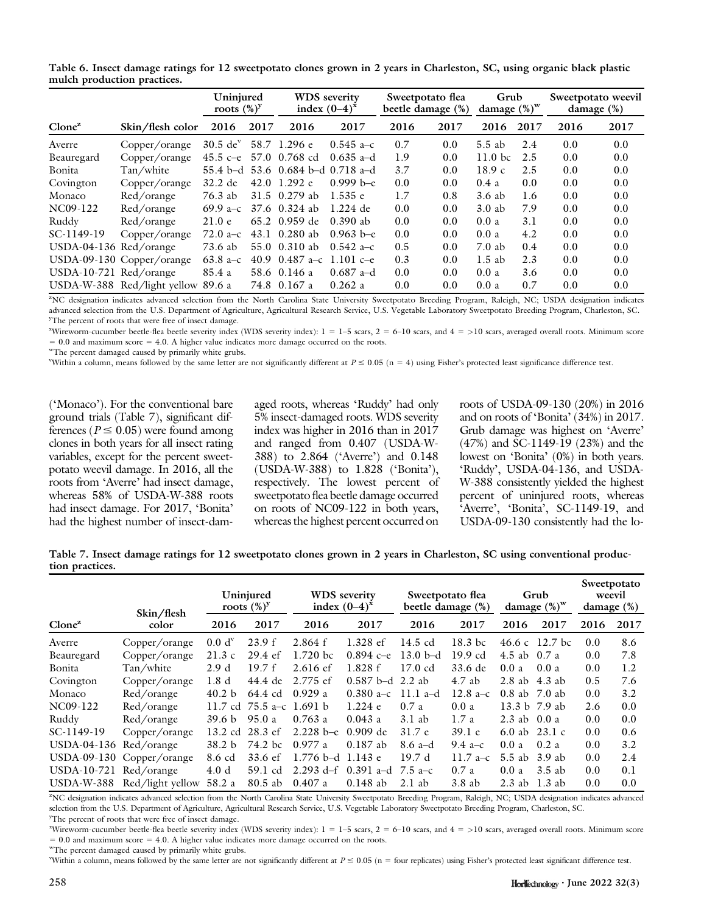|                                    |                                    | Uninjured<br>roots $(\%)^y$ |      | <b>WDS</b> severity<br>index $(0-4)^{x}$ |               | Sweetpotato flea<br>beetle damage (%) |      | Grub<br>damage $(\%)^w$ |      | Sweetpotato weevil<br>damage $(\%)$ |      |
|------------------------------------|------------------------------------|-----------------------------|------|------------------------------------------|---------------|---------------------------------------|------|-------------------------|------|-------------------------------------|------|
| $C$ lone <sup><math>z</math></sup> | Skin/flesh color                   | 2016                        | 2017 | 2016                                     | 2017          | 2016                                  | 2017 | 2016                    | 2017 | 2016                                | 2017 |
| Averre                             | Copper/orange                      | $30.5$ de <sup>v</sup>      |      | 58.7 1.296 e                             | $0.545$ a-c   | 0.7                                   | 0.0  | $5.5$ ab                | 2.4  | 0.0                                 | 0.0  |
| Beauregard                         | Copper/orange                      | 45.5 c-e                    |      | 57.0 0.768 cd                            | $0.635$ a-d   | 1.9                                   | 0.0  | 11.0 <sub>b</sub> c     | 2.5  | 0.0                                 | 0.0  |
| Bonita                             | Tan/white                          |                             |      | 55.4 b-d 53.6 0.684 b-d 0.718 a-d        |               | 3.7                                   | 0.0  | 18.9c                   | 2.5  | 0.0                                 | 0.0  |
| Covington                          | Copper/orange                      | 32.2 de                     |      | 42.0 1.292 $e$                           | $0.999 b - e$ | 0.0                                   | 0.0  | 0.4a                    | 0.0  | 0.0                                 | 0.0  |
| Monaco                             | Red/orange                         | 76.3 ab                     |      | 31.5 $0.279$ ab                          | 1.535e        | 1.7                                   | 0.8  | 3.6 ab                  | 1.6  | 0.0                                 | 0.0  |
| NC09-122                           | Red/orange                         | 69.9 a–c                    |      | 37.6 0.324 ab                            | $1.224$ de    | 0.0                                   | 0.0  | 3.0ab                   | 7.9  | 0.0                                 | 0.0  |
| Ruddy                              | Red/orange                         | 21.0 e                      |      | 65.2 0.959 de                            | $0.390$ ab    | 0.0                                   | 0.0  | 0.0a                    | 3.1  | 0.0                                 | 0.0  |
| SC-1149-19                         | Copper/orange                      | $72.0 a-c$                  |      | 43.1 0.280 ab                            | $0.963$ b-e   | 0.0                                   | 0.0  | 0.0a                    | 4.2  | 0.0                                 | 0.0  |
| $USDA-04-136$ Red/orange           |                                    | 73.6 ab                     |      | 55.0 0.310 ab                            | $0.542 a-c$   | 0.5                                   | 0.0  | $7.0$ ab                | 0.4  | 0.0                                 | 0.0  |
|                                    | USDA-09-130 Copper/orange          | 63.8 a–c                    |      | 40.9 0.487 a-c 1.101 c-e                 |               | 0.3                                   | 0.0  | $1.5$ ab                | 2.3  | 0.0                                 | 0.0  |
| USDA-10-721 Red/orange             |                                    | 85.4 a                      |      | 58.6 0.146 a                             | $0.687$ a-d   | 0.0                                   | 0.0  | 0.0a                    | 3.6  | 0.0                                 | 0.0  |
|                                    | USDA-W-388 Red/light yellow 89.6 a |                             |      | 74.8 0.167 a                             | 0.262a        | 0.0                                   | 0.0  | 0.0a                    | 0.7  | 0.0                                 | 0.0  |

Table 6. Insect damage ratings for 12 sweetpotato clones grown in 2 years in Charleston, SC, using organic black plastic mulch production practices.

z NC designation indicates advanced selection from the North Carolina State University Sweetpotato Breeding Program, Raleigh, NC; USDA designation indicates advanced selection from the U.S. Department of Agriculture, Agricultural Research Service, U.S. Vegetable Laboratory Sweetpotato Breeding Program, Charleston, SC. <sup>y</sup>The percent of roots that were free of insect damage.

x Wireworm-cucumber beetle-flea beetle severity index (WDS severity index): 1 5 1–5 scars, 2 5 6–10 scars, and 4 5 >10 scars, averaged overall roots. Minimum score  $= 0.0$  and maximum score  $= 4.0$ . A higher value indicates more damage occurred on the roots.

wThe percent damaged caused by primarily white grubs.

Within a column, means followed by the same letter are not significantly different at  $P \le 0.05$  (n = 4) using Fisher's protected least significance difference test.

('Monaco'). For the conventional bare ground trials (Table 7), significant differences ( $P \le 0.05$ ) were found among clones in both years for all insect rating variables, except for the percent sweetpotato weevil damage. In 2016, all the roots from 'Averre' had insect damage, whereas 58% of USDA-W-388 roots had insect damage. For 2017, 'Bonita' had the highest number of insect-damaged roots, whereas 'Ruddy' had only 5% insect-damaged roots. WDS severity index was higher in 2016 than in 2017 and ranged from 0.407 (USDA-W-388) to 2.864 ('Averre') and 0.148 (USDA-W-388) to 1.828 ('Bonita'), respectively. The lowest percent of sweetpotato flea beetle damage occurred on roots of NC09-122 in both years, whereas the highest percent occurred on roots of USDA-09-130 (20%) in 2016 and on roots of 'Bonita' (34%) in 2017. Grub damage was highest on 'Averre' (47%) and SC-1149-19 (23%) and the lowest on 'Bonita' (0%) in both years. 'Ruddy', USDA-04-136, and USDA-W-388 consistently yielded the highest percent of uninjured roots, whereas 'Averre', 'Bonita', SC-1149-19, and USDA-09-130 consistently had the lo-

Table 7. Insect damage ratings for 12 sweetpotato clones grown in 2 years in Charleston, SC using conventional production practices.

|                        | Skin/flesh                | Uninjured<br>roots $(\%)^y$ |                            | <b>WDS</b> severity<br>index $(0-4)^{x}$ |                       | Sweetpotato flea<br>beetle damage (%) |            | Grub<br>damage $(\%)^w$ |                | Sweetpotato<br>weevil<br>damage $(\%)$ |      |
|------------------------|---------------------------|-----------------------------|----------------------------|------------------------------------------|-----------------------|---------------------------------------|------------|-------------------------|----------------|----------------------------------------|------|
| $Clone^{z}$            | color                     | 2016                        | 2017                       | 2016                                     | 2017                  | 2016                                  | 2017       | 2016                    | 2017           | 2016                                   | 2017 |
| Averre                 | Copper/orange             | 0.0 d <sup>v</sup>          | 23.9 f                     | 2.864 f                                  | 1.328 ef              | 14.5 cd                               | $18.3$ bc  |                         | 46.6 c 12.7 bc | 0.0                                    | 8.6  |
| Beauregard             | Copper/orange             | 21.3c                       | $29.4 \text{ ef}$          | $1.720$ bc                               | $0.894c - e$          | $13.0 \text{ b-d}$                    | $19.9$ cd  | 4.5 ab 0.7 a            |                | 0.0                                    | 7.8  |
| Bonita                 | Tan/white                 | 2.9 d                       | 19.7 f                     | $2.616$ ef                               | 1.828 f               | $17.0 \text{ cd}$                     | 33.6 de    | 0.0a                    | 0.0a           | 0.0                                    | 1.2  |
| Covington              | Copper/orange             | 1.8 <sub>d</sub>            | 44.4 de                    | 2.775 ef                                 | $0.587$ b-d $2.2$ ab  |                                       | $4.7$ ab   | $2.8$ ab $4.3$ ab       |                | 0.5                                    | 7.6  |
| Monaco                 | Red/orange                | 40.2 <sub>b</sub>           | 64.4 cd                    | 0.929a                                   | $0.380$ a–c           | 11.1 a-d                              | 12.8 $a-c$ | $0.8$ ab $7.0$ ab       |                | 0.0                                    | 3.2  |
| NC09-122               | Red/orange                |                             | 11.7 cd $75.5$ a-c 1.691 b |                                          | $1.224$ e             | 0.7a                                  | 0.0a       |                         | 13.3 b 7.9 ab  | 2.6                                    | 0.0  |
| Ruddy                  | Red/orange                | 39.6 <sub>b</sub>           | 95.0 a                     | 0.763a                                   | 0.043a                | 3.1ab                                 | 1.7a       | $2.3$ ab $0.0$ a        |                | 0.0                                    | 0.0  |
| SC-1149-19             | Copper/orange             | 13.2 cd                     | $28.3$ ef                  | $2.228 b - e$                            | $0.909$ de            | 31.7 e                                | 39.1 e     | $6.0$ ab                | 23.1 c         | 0.0                                    | 0.6  |
| USDA-04-136 Red/orange |                           | 38.2 <sub>b</sub>           | 74.2 bc                    | 0.977a                                   | $0.187$ ab            | $8.6$ a-d                             | 9.4 $a-c$  | 0.0a                    | 0.2a           | 0.0                                    | 3.2  |
|                        | USDA-09-130 Copper/orange | 8.6 cd                      | 33.6 ef                    | $1.776$ b-d $1.143$ e                    |                       | 19.7d                                 | 11.7 a–c   |                         | 5.5 ab 3.9 ab  | 0.0                                    | 2.4  |
| USDA-10-721 Red/orange |                           | 4.0d                        | 59.1 cd                    |                                          | 2.293 d=f $0.391$ a=d | 7.5 а–с                               | 0.7a       | 0.0a                    | $3.5$ ab       | 0.0                                    | 0.1  |
| <b>USDA-W-388</b>      | Red/light yellow          | 58.2 a                      | 80.5 ab                    | 0.407a                                   | $0.148$ ab            | $2.1$ ab                              | 3.8ab      | $2.3$ ab                | 1.3 ab         | 0.0                                    | 0.0  |

z NC designation indicates advanced selection from the North Carolina State University Sweetpotato Breeding Program, Raleigh, NC; USDA designation indicates advanced selection from the U.S. Department of Agriculture, Agricultural Research Service, U.S. Vegetable Laboratory Sweetpotato Breeding Program, Charleston, SC.

<sup>y</sup>The percent of roots that were free of insect damage.

x Wireworm-cucumber beetle-flea beetle severity index (WDS severity index): 1 5 1–5 scars, 2 5 6–10 scars, and 4 5 >10 scars, averaged overall roots. Minimum score  $= 0.0$  and maximum score  $= 4.0$ . A higher value indicates more damage occurred on the roots.

wThe percent damaged caused by primarily white grubs.

Within a column, means followed by the same letter are not significantly different at  $P \le 0.05$  (n = four replicates) using Fisher's protected least significant difference test.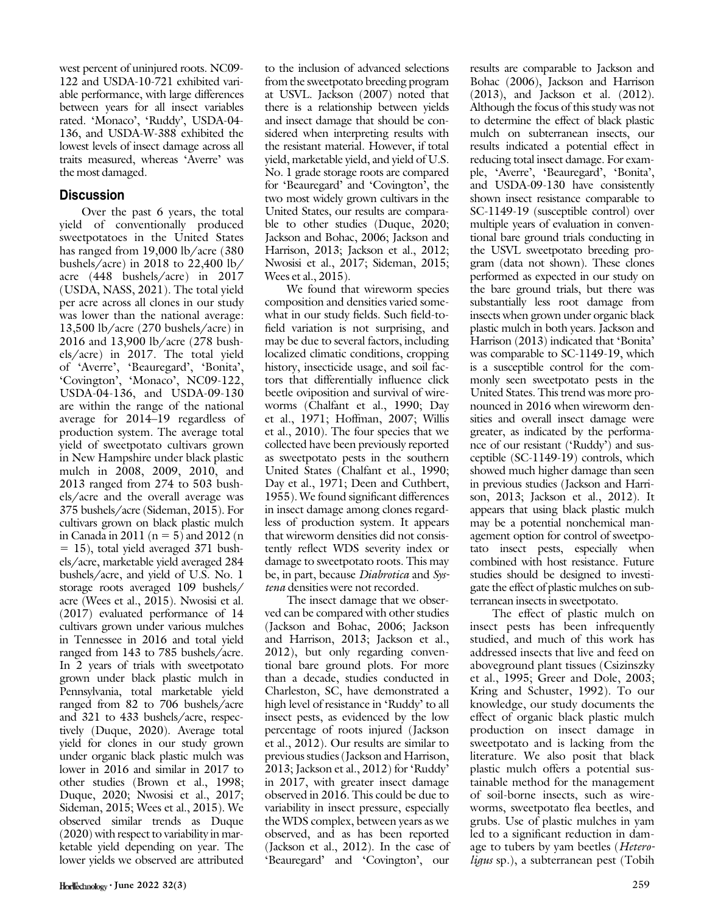west percent of uninjured roots. NC09- 122 and USDA-10-721 exhibited variable performance, with large differences between years for all insect variables rated. 'Monaco', 'Ruddy', USDA-04- 136, and USDA-W-388 exhibited the lowest levels of insect damage across all traits measured, whereas 'Averre' was the most damaged.

## **Discussion**

Over the past 6 years, the total yield of conventionally produced sweetpotatoes in the United States has ranged from 19,000 lb/acre (380 bushels/acre) in 2018 to 22,400 lb/ acre (448 bushels/acre) in 2017 (USDA, NASS, 2021). The total yield per acre across all clones in our study was lower than the national average: 13,500 lb/acre (270 bushels/acre) in 2016 and 13,900 lb/acre (278 bushels/acre) in 2017. The total yield of 'Averre', 'Beauregard', 'Bonita', 'Covington', 'Monaco', NC09-122, USDA-04-136, and USDA-09-130 are within the range of the national average for 2014–19 regardless of production system. The average total yield of sweetpotato cultivars grown in New Hampshire under black plastic mulch in 2008, 2009, 2010, and 2013 ranged from 274 to 503 bushels/acre and the overall average was 375 bushels/acre (Sideman, 2015). For cultivars grown on black plastic mulch in Canada in 2011 ( $n = 5$ ) and 2012 (n  $= 15$ ), total yield averaged 371 bushels/acre, marketable yield averaged 284 bushels/acre, and yield of U.S. No. 1 storage roots averaged 109 bushels/ acre (Wees et al., 2015). Nwosisi et al. (2017) evaluated performance of 14 cultivars grown under various mulches in Tennessee in 2016 and total yield ranged from 143 to 785 bushels/acre. In 2 years of trials with sweetpotato grown under black plastic mulch in Pennsylvania, total marketable yield ranged from 82 to 706 bushels/acre and 321 to 433 bushels/acre, respectively (Duque, 2020). Average total yield for clones in our study grown under organic black plastic mulch was lower in 2016 and similar in 2017 to other studies (Brown et al., 1998; Duque, 2020; Nwosisi et al., 2017; Sideman, 2015; Wees et al., 2015). We observed similar trends as Duque (2020) with respect to variability in marketable yield depending on year. The lower yields we observed are attributed

to the inclusion of advanced selections from the sweetpotato breeding program at USVL. Jackson (2007) noted that there is a relationship between yields and insect damage that should be considered when interpreting results with the resistant material. However, if total yield, marketable yield, and yield of U.S. No. 1 grade storage roots are compared for 'Beauregard' and 'Covington', the two most widely grown cultivars in the United States, our results are comparable to other studies (Duque, 2020; Jackson and Bohac, 2006; Jackson and Harrison, 2013; Jackson et al., 2012; Nwosisi et al., 2017; Sideman, 2015; Wees et al., 2015).

We found that wireworm species composition and densities varied somewhat in our study fields. Such field-tofield variation is not surprising, and may be due to several factors, including localized climatic conditions, cropping history, insecticide usage, and soil factors that differentially influence click beetle oviposition and survival of wireworms (Chalfant et al., 1990; Day et al., 1971; Hoffman, 2007; Willis et al., 2010). The four species that we collected have been previously reported as sweetpotato pests in the southern United States (Chalfant et al., 1990; Day et al., 1971; Deen and Cuthbert, 1955). We found significant differences in insect damage among clones regardless of production system. It appears that wireworm densities did not consistently reflect WDS severity index or damage to sweetpotato roots. This may be, in part, because *Diabrotica* and Systena densities were not recorded.

The insect damage that we observed can be compared with other studies (Jackson and Bohac, 2006; Jackson and Harrison, 2013; Jackson et al., 2012), but only regarding conventional bare ground plots. For more than a decade, studies conducted in Charleston, SC, have demonstrated a high level of resistance in 'Ruddy' to all insect pests, as evidenced by the low percentage of roots injured (Jackson et al., 2012). Our results are similar to previous studies (Jackson and Harrison, 2013; Jackson et al., 2012) for 'Ruddy' in 2017, with greater insect damage observed in 2016. This could be due to variability in insect pressure, especially the WDS complex, between years as we observed, and as has been reported (Jackson et al., 2012). In the case of 'Beauregard' and 'Covington', our results are comparable to Jackson and Bohac (2006), Jackson and Harrison (2013), and Jackson et al. (2012). Although the focus of this study was not to determine the effect of black plastic mulch on subterranean insects, our results indicated a potential effect in reducing total insect damage. For example, 'Averre', 'Beauregard', 'Bonita', and USDA-09-130 have consistently shown insect resistance comparable to SC-1149-19 (susceptible control) over multiple years of evaluation in conventional bare ground trials conducting in the USVL sweetpotato breeding program (data not shown). These clones performed as expected in our study on the bare ground trials, but there was substantially less root damage from insects when grown under organic black plastic mulch in both years. Jackson and Harrison (2013) indicated that 'Bonita' was comparable to SC-1149-19, which is a susceptible control for the commonly seen sweetpotato pests in the United States. This trend was more pronounced in 2016 when wireworm densities and overall insect damage were greater, as indicated by the performance of our resistant ('Ruddy') and susceptible (SC-1149-19) controls, which showed much higher damage than seen in previous studies (Jackson and Harrison, 2013; Jackson et al., 2012). It appears that using black plastic mulch may be a potential nonchemical management option for control of sweetpotato insect pests, especially when combined with host resistance. Future studies should be designed to investigate the effect of plastic mulches on subterranean insects in sweetpotato.

The effect of plastic mulch on insect pests has been infrequently studied, and much of this work has addressed insects that live and feed on aboveground plant tissues (Csizinszky et al., 1995; Greer and Dole, 2003; Kring and Schuster, 1992). To our knowledge, our study documents the effect of organic black plastic mulch production on insect damage in sweetpotato and is lacking from the literature. We also posit that black plastic mulch offers a potential sustainable method for the management of soil-borne insects, such as wireworms, sweetpotato flea beetles, and grubs. Use of plastic mulches in yam led to a significant reduction in damage to tubers by yam beetles (Heteroligus sp.), a subterranean pest (Tobih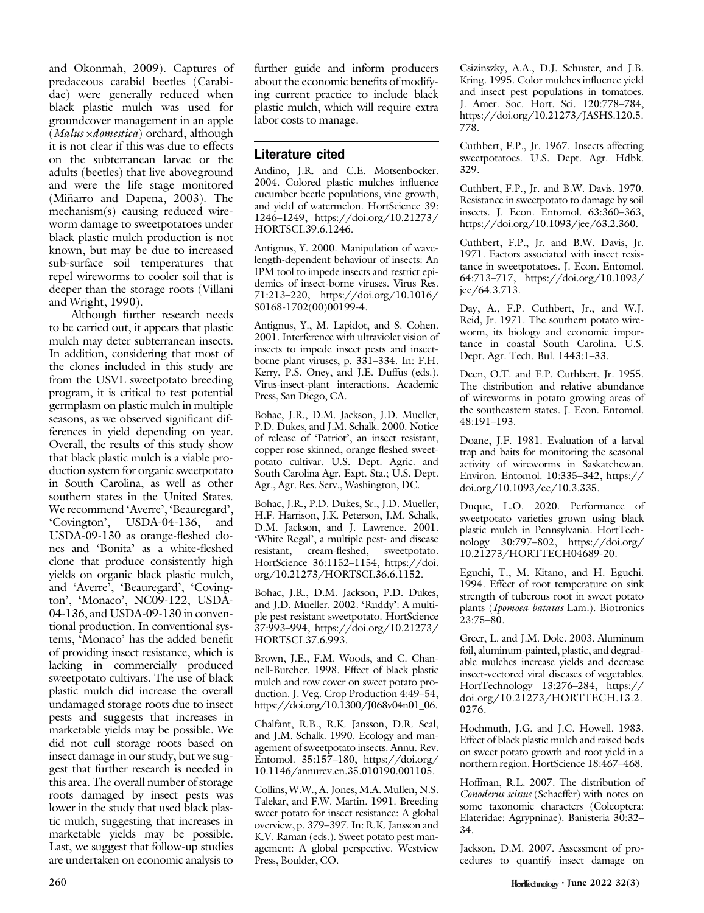and Okonmah, 2009). Captures of predaceous carabid beetles (Carabidae) were generally reduced when black plastic mulch was used for groundcover management in an apple (Malus ×domestica) orchard, although it is not clear if this was due to effects on the subterranean larvae or the adults (beetles) that live aboveground and were the life stage monitored (Miñarro and Dapena, 2003). The mechanism(s) causing reduced wireworm damage to sweetpotatoes under black plastic mulch production is not known, but may be due to increased sub-surface soil temperatures that repel wireworms to cooler soil that is deeper than the storage roots (Villani and Wright, 1990).

Although further research needs to be carried out, it appears that plastic mulch may deter subterranean insects. In addition, considering that most of the clones included in this study are from the USVL sweetpotato breeding program, it is critical to test potential germplasm on plastic mulch in multiple seasons, as we observed significant differences in yield depending on year. Overall, the results of this study show that black plastic mulch is a viable production system for organic sweetpotato in South Carolina, as well as other southern states in the United States. We recommend 'Averre', 'Beauregard', 'Covington', USDA-04-136, and USDA-09-130 as orange-fleshed clones and 'Bonita' as a white-fleshed clone that produce consistently high yields on organic black plastic mulch, and 'Averre', 'Beauregard', 'Covington', 'Monaco', NC09-122, USDA-04-136, and USDA-09-130 in conventional production. In conventional systems, 'Monaco' has the added benefit of providing insect resistance, which is lacking in commercially produced sweetpotato cultivars. The use of black plastic mulch did increase the overall undamaged storage roots due to insect pests and suggests that increases in marketable yields may be possible. We did not cull storage roots based on insect damage in our study, but we suggest that further research is needed in this area. The overall number of storage roots damaged by insect pests was lower in the study that used black plastic mulch, suggesting that increases in marketable yields may be possible. Last, we suggest that follow-up studies are undertaken on economic analysis to

further guide and inform producers about the economic benefits of modifying current practice to include black plastic mulch, which will require extra labor costs to manage.

### Literature cited

Andino, J.R. and C.E. Motsenbocker. 2004. Colored plastic mulches influence cucumber beetle populations, vine growth, and yield of watermelon. HortScience 39: 1246–1249, [https://doi.org/10.21273/](https://doi.org/10.21273/HORTSCI.39.6.1246) [HORTSCI.39.6.1246](https://doi.org/10.21273/HORTSCI.39.6.1246).

Antignus, Y. 2000. Manipulation of wavelength-dependent behaviour of insects: An IPM tool to impede insects and restrict epidemics of insect-borne viruses. Virus Res. 71:213–220, [https://doi.org/10.1016/](https://doi.org/10.1016/S0168-1702(00)00199-4) [S0168-1702\(00\)00199-4.](https://doi.org/10.1016/S0168-1702(00)00199-4)

Antignus, Y., M. Lapidot, and S. Cohen. 2001. Interference with ultraviolet vision of insects to impede insect pests and insectborne plant viruses, p. 331–334. In: F.H. Kerry, P.S. Oney, and J.E. Duffus (eds.). Virus-insect-plant interactions. Academic Press, San Diego, CA.

Bohac, J.R., D.M. Jackson, J.D. Mueller, P.D. Dukes, and J.M. Schalk. 2000. Notice of release of 'Patriot', an insect resistant, copper rose skinned, orange fleshed sweetpotato cultivar. U.S. Dept. Agric. and South Carolina Agr. Expt. Sta.; U.S. Dept. Agr., Agr. Res. Serv., Washington, DC.

Bohac, J.R., P.D. Dukes, Sr., J.D. Mueller, H.F. Harrison, J.K. Peterson, J.M. Schalk, D.M. Jackson, and J. Lawrence. 2001. 'White Regal', a multiple pest- and disease resistant, cream-fleshed, sweetpotato. HortScience 36:1152–1154, [https://doi.](https://doi.org/10.21273/HORTSCI.36.6.1152) [org/10.21273/HORTSCI.36.6.1152](https://doi.org/10.21273/HORTSCI.36.6.1152).

Bohac, J.R., D.M. Jackson, P.D. Dukes, and J.D. Mueller. 2002. 'Ruddy': A multiple pest resistant sweetpotato. HortScience 37:993–994, [https://doi.org/10.21273/](https://doi.org/10.21273/HORTSCI.37.6.993) [HORTSCI.37.6.993.](https://doi.org/10.21273/HORTSCI.37.6.993)

Brown, J.E., F.M. Woods, and C. Channell-Butcher. 1998. Effect of black plastic mulch and row cover on sweet potato production. J. Veg. Crop Production 4:49–54, [https://doi.org/10.1300/J068v04n01\\_06.](https://doi.org/10.1300/J068v04n01_06)

Chalfant, R.B., R.K. Jansson, D.R. Seal, and J.M. Schalk. 1990. Ecology and management of sweetpotato insects. Annu. Rev. Entomol. 35:157–180, [https://doi.org/](https://doi.org/10.1146/annurev.en.35.010190.001105) [10.1146/annurev.en.35.010190.001105](https://doi.org/10.1146/annurev.en.35.010190.001105).

Collins, W.W., A. Jones, M.A. Mullen, N.S. Talekar, and F.W. Martin. 1991. Breeding sweet potato for insect resistance: A global overview, p. 379–397. In: R.K. Jansson and K.V. Raman (eds.). Sweet potato pest management: A global perspective. Westview Press, Boulder, CO.

Csizinszky, A.A., D.J. Schuster, and J.B. Kring. 1995. Color mulches influence yield and insect pest populations in tomatoes. J. Amer. Soc. Hort. Sci. 120:778–784, [https://doi.org/10.21273/JASHS.120.5.](https://doi.org/10.21273/JASHS.120.5.778) [778](https://doi.org/10.21273/JASHS.120.5.778).

Cuthbert, F.P., Jr. 1967. Insects affecting sweetpotatoes. U.S. Dept. Agr. Hdbk. 329.

Cuthbert, F.P., Jr. and B.W. Davis. 1970. Resistance in sweetpotato to damage by soil insects. J. Econ. Entomol. 63:360–363, [https://doi.org/10.1093/jee/63.2.360.](https://doi.org/10.1093/jee/63.2.360)

Cuthbert, F.P., Jr. and B.W. Davis, Jr. 1971. Factors associated with insect resistance in sweetpotatoes. J. Econ. Entomol. 64:713–717, [https://doi.org/10.1093/](https://doi.org/10.1093/jee/64.3.713) [jee/64.3.713.](https://doi.org/10.1093/jee/64.3.713)

Day, A., F.P. Cuthbert, Jr., and W.J. Reid, Jr. 1971. The southern potato wireworm, its biology and economic importance in coastal South Carolina. U.S. Dept. Agr. Tech. Bul. 1443:1–33.

Deen, O.T. and F.P. Cuthbert, Jr. 1955. The distribution and relative abundance of wireworms in potato growing areas of the southeastern states. J. Econ. Entomol. 48:191–193.

Doane, J.F. 1981. Evaluation of a larval trap and baits for monitoring the seasonal activity of wireworms in Saskatchewan. Environ. Entomol. 10:335–342, [https://](https://doi.org/10.1093/ee/10.3.335) [doi.org/10.1093/ee/10.3.335.](https://doi.org/10.1093/ee/10.3.335)

Duque, L.O. 2020. Performance of sweetpotato varieties grown using black plastic mulch in Pennsylvania. HortTechnology 30:797–802, [https://doi.org/](https://doi.org/10.21273/HORTTECH04689-20) [10.21273/HORTTECH04689-20.](https://doi.org/10.21273/HORTTECH04689-20)

Eguchi, T., M. Kitano, and H. Eguchi. 1994. Effect of root temperature on sink strength of tuberous root in sweet potato plants (Ipomoea batatas Lam.). Biotronics 23:75–80.

Greer, L. and J.M. Dole. 2003. Aluminum foil, aluminum-painted, plastic, and degradable mulches increase yields and decrease insect-vectored viral diseases of vegetables. HortTechnology 13:276–284, [https://](https://doi.org/10.21273/HORTTECH.13.2.0276) [doi.org/10.21273/HORTTECH.13.2.](https://doi.org/10.21273/HORTTECH.13.2.0276) [0276](https://doi.org/10.21273/HORTTECH.13.2.0276).

Hochmuth, J.G. and J.C. Howell. 1983. Effect of black plastic mulch and raised beds on sweet potato growth and root yield in a northern region. HortScience 18:467–468.

Hoffman, R.L. 2007. The distribution of Conoderus scissus (Schaeffer) with notes on some taxonomic characters (Coleoptera: Elateridae: Agrypninae). Banisteria 30:32– 34.

Jackson, D.M. 2007. Assessment of procedures to quantify insect damage on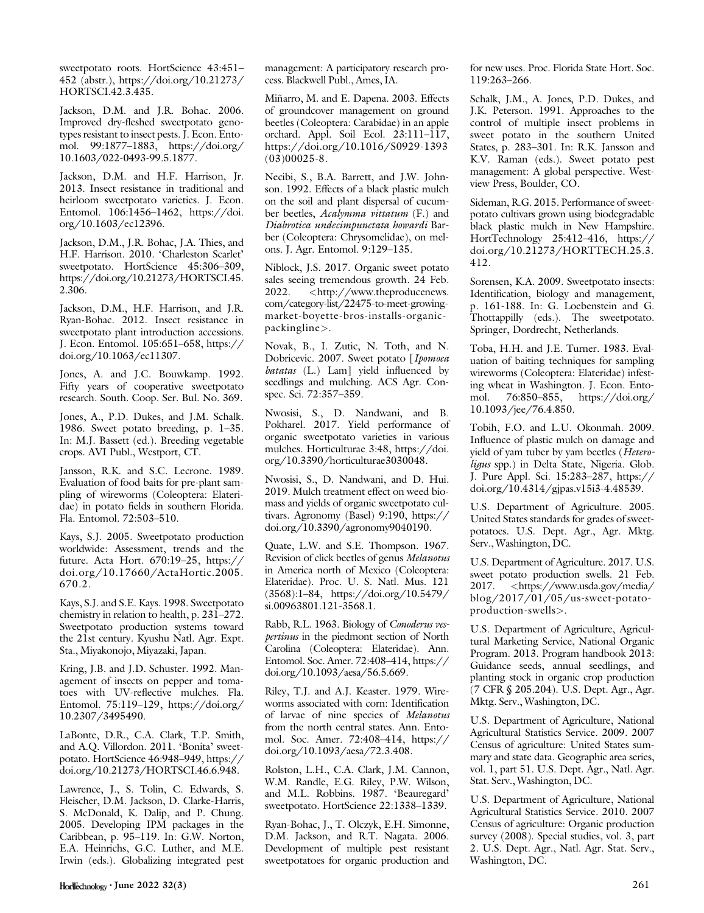sweetpotato roots. HortScience 43:451– 452 (abstr.), [https://doi.org/10.21273/](https://doi.org/10.21273/HORTSCI.42.3.435) [HORTSCI.42.3.435](https://doi.org/10.21273/HORTSCI.42.3.435).

Jackson, D.M. and J.R. Bohac. 2006. Improved dry-fleshed sweetpotato genotypes resistant to insect pests. J. Econ. Entomol. 99:1877–1883, [https://doi.org/](https://doi.org/10.1603/022-0493-99.5.1877) [10.1603/022-0493-99.5.1877.](https://doi.org/10.1603/022-0493-99.5.1877)

Jackson, D.M. and H.F. Harrison, Jr. 2013. Insect resistance in traditional and heirloom sweetpotato varieties. J. Econ. Entomol. 106:1456–1462, [https://doi.](https://doi.org/10.1603/ec12396) [org/10.1603/ec12396.](https://doi.org/10.1603/ec12396)

Jackson, D.M., J.R. Bohac, J.A. Thies, and H.F. Harrison. 2010. 'Charleston Scarlet' sweetpotato. HortScience 45:306-309, [https://doi.org/10.21273/HORTSCI.45.](https://doi.org/10.21273/HORTSCI.45.2.306) [2.306](https://doi.org/10.21273/HORTSCI.45.2.306).

Jackson, D.M., H.F. Harrison, and J.R. Ryan-Bohac. 2012. Insect resistance in sweetpotato plant introduction accessions. J. Econ. Entomol. 105:651–658, [https://](https://doi.org/10.1063/ec11307) [doi.org/10.1063/ec11307](https://doi.org/10.1063/ec11307).

Jones, A. and J.C. Bouwkamp. 1992. Fifty years of cooperative sweetpotato research. South. Coop. Ser. Bul. No. 369.

Jones, A., P.D. Dukes, and J.M. Schalk. 1986. Sweet potato breeding, p. 1–35. In: M.J. Bassett (ed.). Breeding vegetable crops. AVI Publ., Westport, CT.

Jansson, R.K. and S.C. Lecrone. 1989. Evaluation of food baits for pre-plant sampling of wireworms (Coleoptera: Elateridae) in potato fields in southern Florida. Fla. Entomol. 72:503–510.

Kays, S.J. 2005. Sweetpotato production worldwide: Assessment, trends and the future. Acta Hort. 670:19–25, [https://](https://doi.org/10.17660/ActaHortic.2005.670.2) [doi.org/10.17660/ActaHortic.2005.](https://doi.org/10.17660/ActaHortic.2005.670.2) [670.2.](https://doi.org/10.17660/ActaHortic.2005.670.2)

Kays, S.J. and S.E. Kays. 1998. Sweetpotato chemistry in relation to health, p. 231–272. Sweetpotato production systems toward the 21st century. Kyushu Natl. Agr. Expt. Sta., Miyakonojo, Miyazaki, Japan.

Kring, J.B. and J.D. Schuster. 1992. Management of insects on pepper and tomatoes with UV-reflective mulches. Fla. Entomol. 75:119–129, [https://doi.org/](https://doi.org/10.2307/3495490) [10.2307/3495490.](https://doi.org/10.2307/3495490)

LaBonte, D.R., C.A. Clark, T.P. Smith, and A.Q. Villordon. 2011. 'Bonita' sweetpotato. HortScience 46:948–949, [https://](https://doi.org/10.21273/HORTSCI.46.6.948) [doi.org/10.21273/HORTSCI.46.6.948.](https://doi.org/10.21273/HORTSCI.46.6.948)

Lawrence, J., S. Tolin, C. Edwards, S. Fleischer, D.M. Jackson, D. Clarke-Harris, S. McDonald, K. Dalip, and P. Chung. 2005. Developing IPM packages in the Caribbean, p. 95–119. In: G.W. Norton, E.A. Heinrichs, G.C. Luther, and M.E. Irwin (eds.). Globalizing integrated pest management: A participatory research process. Blackwell Publ., Ames, IA.

Miñarro, M. and E. Dapena. 2003. Effects of groundcover management on ground beetles (Coleoptera: Carabidae) in an apple orchard. Appl. Soil Ecol. 23:111–117, [https://doi.org/10.1016/S0929-1393](https://doi.org/10.1016/S0929-1393(03)00025-8)  $(03)00025 - 8.$ 

Necibi, S., B.A. Barrett, and J.W. Johnson. 1992. Effects of a black plastic mulch on the soil and plant dispersal of cucumber beetles, Acalymma vittatum (F.) and Diabrotica undecimpunctata howardi Barber (Coleoptera: Chrysomelidae), on melons. J. Agr. Entomol. 9:129–135.

Niblock, J.S. 2017. Organic sweet potato sales seeing tremendous growth. 24 Feb. 2022. <[http://www.theproducenews.](http://www.theproducenews.com/category-list/22475-to-meet-growing-market-boyette-bros-installs-organic-packingline) [com/category-list/22475-to-meet-growing](http://www.theproducenews.com/category-list/22475-to-meet-growing-market-boyette-bros-installs-organic-packingline)[market-boyette-bros-installs-organic](http://www.theproducenews.com/category-list/22475-to-meet-growing-market-boyette-bros-installs-organic-packingline)[packingline](http://www.theproducenews.com/category-list/22475-to-meet-growing-market-boyette-bros-installs-organic-packingline)>.

Novak, B., I. Zutic, N. Toth, and N. Dobricevic. 2007. Sweet potato [Ipomoea batatas (L.) Lam] yield influenced by seedlings and mulching. ACS Agr. Conspec. Sci. 72:357–359.

Nwosisi, S., D. Nandwani, and B. Pokharel. 2017. Yield performance of organic sweetpotato varieties in various mulches. Horticulturae 3:48, [https://doi.](https://doi.org/10.3390/horticulturae3030048) [org/10.3390/horticulturae3030048](https://doi.org/10.3390/horticulturae3030048).

Nwosisi, S., D. Nandwani, and D. Hui. 2019. Mulch treatment effect on weed biomass and yields of organic sweetpotato cultivars. Agronomy (Basel) 9:190, [https://](https://doi.org/10.3390/agronomy9040190) [doi.org/10.3390/agronomy9040190.](https://doi.org/10.3390/agronomy9040190)

Quate, L.W. and S.E. Thompson. 1967. Revision of click beetles of genus Melanotus in America north of Mexico (Coleoptera: Elateridae). Proc. U. S. Natl. Mus. 121 (3568):1–84, [https://doi.org/10.5479/](https://doi.org/10.5479/si.00963801.121-3568.1) [si.00963801.121-3568.1.](https://doi.org/10.5479/si.00963801.121-3568.1)

Rabb, R.L. 1963. Biology of Conoderus vespertinus in the piedmont section of North Carolina (Coleoptera: Elateridae). Ann. Entomol. Soc. Amer. 72:408–414, [https://](https://doi.org/10.1093/aesa/56.5.669) [doi.org/10.1093/aesa/56.5.669.](https://doi.org/10.1093/aesa/56.5.669)

Riley, T.J. and A.J. Keaster. 1979. Wireworms associated with corn: Identification of larvae of nine species of Melanotus from the north central states. Ann. Entomol. Soc. Amer. 72:408–414, [https://](https://doi.org/10.1093/aesa/72.3.408) [doi.org/10.1093/aesa/72.3.408](https://doi.org/10.1093/aesa/72.3.408).

Rolston, L.H., C.A. Clark, J.M. Cannon, W.M. Randle, E.G. Riley, P.W. Wilson, and M.L. Robbins. 1987. 'Beauregard' sweetpotato. HortScience 22:1338–1339.

Ryan-Bohac, J., T. Olczyk, E.H. Simonne, D.M. Jackson, and R.T. Nagata. 2006. Development of multiple pest resistant sweetpotatoes for organic production and

for new uses. Proc. Florida State Hort. Soc. 119:263–266.

Schalk, J.M., A. Jones, P.D. Dukes, and J.K. Peterson. 1991. Approaches to the control of multiple insect problems in sweet potato in the southern United States, p. 283–301. In: R.K. Jansson and K.V. Raman (eds.). Sweet potato pest management: A global perspective. Westview Press, Boulder, CO.

Sideman, R.G. 2015. Performance of sweetpotato cultivars grown using biodegradable black plastic mulch in New Hampshire. HortTechnology 25:412–416, [https://](https://doi.org/10.21273/HORTTECH.25.3.412) [doi.org/10.21273/HORTTECH.25.3.](https://doi.org/10.21273/HORTTECH.25.3.412) [412](https://doi.org/10.21273/HORTTECH.25.3.412).

Sorensen, K.A. 2009. Sweetpotato insects: Identification, biology and management, p. 161-188. In: G. Loebenstein and G. Thottappilly (eds.). The sweetpotato. Springer, Dordrecht, Netherlands.

Toba, H.H. and J.E. Turner. 1983. Evaluation of baiting techniques for sampling wireworms (Coleoptera: Elateridae) infesting wheat in Washington. J. Econ. Entomol. 76:850–855, [https://doi.org/](https://doi.org/10.1093/jee/76.4.850) [10.1093/jee/76.4.850](https://doi.org/10.1093/jee/76.4.850).

Tobih, F.O. and L.U. Okonmah. 2009. Influence of plastic mulch on damage and yield of yam tuber by yam beetles (Heteroligus spp.) in Delta State, Nigeria. Glob. J. Pure Appl. Sci. 15:283–287, [https://](https://doi.org/10.4314/gjpas.v15i3-4.48539) [doi.org/10.4314/gjpas.v15i3-4.48539](https://doi.org/10.4314/gjpas.v15i3-4.48539).

U.S. Department of Agriculture. 2005. United States standards for grades of sweetpotatoes. U.S. Dept. Agr., Agr. Mktg. Serv., Washington, DC.

U.S. Department of Agriculture. 2017. U.S. sweet potato production swells. 21 Feb. 2017. <[https://www.usda.gov/media/](https://www.usda.gov/media/blog/2017/01/05/us-sweet-potato-production-swells) [blog/2017/01/05/us-sweet-potato](https://www.usda.gov/media/blog/2017/01/05/us-sweet-potato-production-swells)[production-swells](https://www.usda.gov/media/blog/2017/01/05/us-sweet-potato-production-swells)>.

U.S. Department of Agriculture, Agricultural Marketing Service, National Organic Program. 2013. Program handbook 2013: Guidance seeds, annual seedlings, and planting stock in organic crop production (7 CFR § 205.204). U.S. Dept. Agr., Agr. Mktg. Serv., Washington, DC.

U.S. Department of Agriculture, National Agricultural Statistics Service. 2009. 2007 Census of agriculture: United States summary and state data. Geographic area series, vol. 1, part 51. U.S. Dept. Agr., Natl. Agr. Stat. Serv., Washington, DC.

U.S. Department of Agriculture, National Agricultural Statistics Service. 2010. 2007 Census of agriculture: Organic production survey (2008). Special studies, vol. 3, part 2. U.S. Dept. Agr., Natl. Agr. Stat. Serv., Washington, DC.